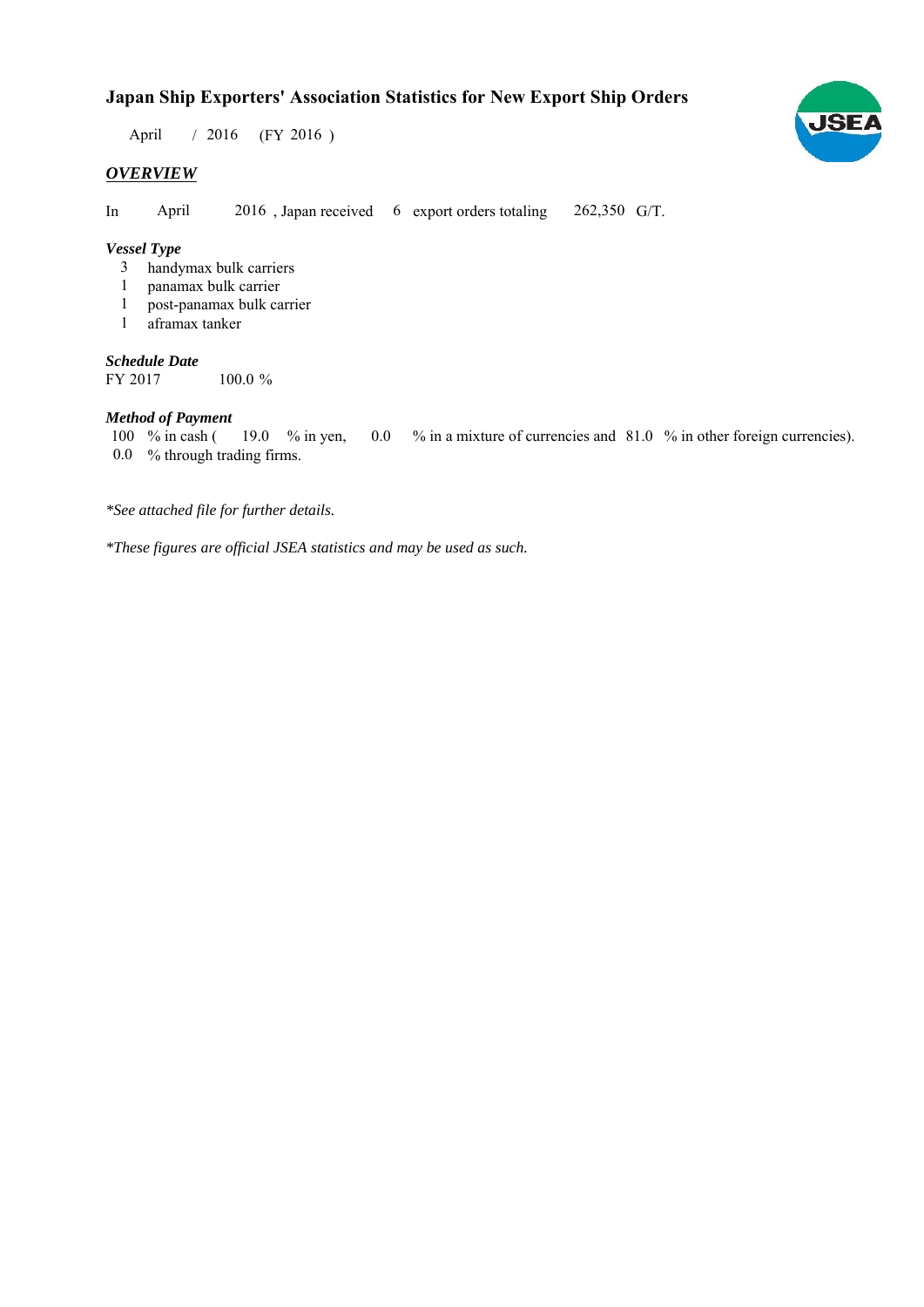## **Japan Ship Exporters' Association Statistics for New Export Ship Orders**

April / 2016 (FY 2016)

#### *OVERVIEW*

In April 2016, Japan received 6 export orders totaling 262,350 G/T. April

#### *Vessel Type*

- handymax bulk carriers 3
- panamax bulk carrier 1
- post-panamax bulk carrier 1
- aframax tanker 1

#### *Schedule Date*

FY 2017 100.0 %

#### *Method of Payment*

% in cash ( $\frac{19.0}{8}$  in yen,  $\frac{0.0}{8}$  in a mixture of currencies and 81.0 % in other foreign currencies). % through trading firms. 0.0 100  $%$  in cash (

*\*See attached file for further details.*

*\*These figures are official JSEA statistics and may be used as such.*

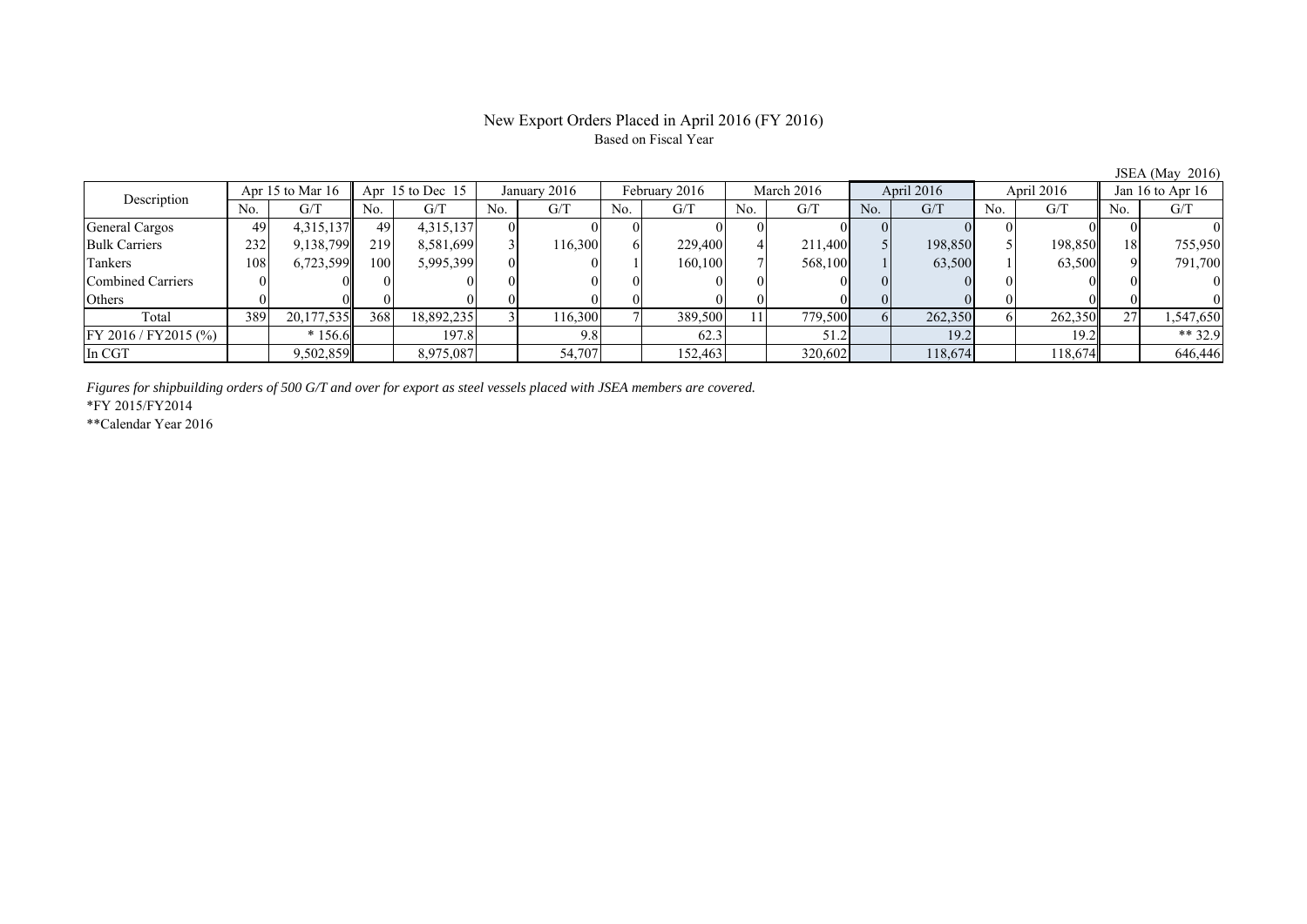#### New Export Orders Placed in April 2016 (FY 2016) Based on Fiscal Year

| Description              | Apr 15 to Mar $16$ |            | Apr $15$ to Dec $15$ |            | January 2016 |         | February 2016 |         | March 2016 |         | April 2016     |         | April 2016 |         | Jan 16 to Apr $16$ |           |
|--------------------------|--------------------|------------|----------------------|------------|--------------|---------|---------------|---------|------------|---------|----------------|---------|------------|---------|--------------------|-----------|
|                          | No.                | G/T        | No.                  | G/T        | No.          | G/T     | No.           | G/T     | No.        | G/T     | No.            | G/T     | No.        | G/T     | No.                | G/T       |
| General Cargos           | 49                 | 4,315,137  | 491                  | 4,315,137  |              |         |               |         |            |         |                |         |            |         |                    |           |
| <b>Bulk Carriers</b>     | 232                | 9,138,799  | 219                  | 8,581,699  |              | 116,300 | 61            | 229,400 |            | 211,400 |                | 198,850 |            | 198,850 | 18                 | 755,950   |
| Tankers                  | 108                | 6,723,599  | 1001                 | 5,995,399  |              |         |               | 160,100 |            | 568,100 |                | 63,500  |            | 63,500  |                    | 791,700   |
| <b>Combined Carriers</b> |                    |            |                      |            |              |         |               |         |            |         |                |         |            |         |                    |           |
| Others                   |                    |            |                      |            |              |         |               |         |            |         |                |         |            |         |                    |           |
| Total                    | 389                | 20,177,535 | 368                  | 18,892,235 |              | 116,300 |               | 389,500 |            | 779,500 | 6 <sup>1</sup> | 262,350 |            | 262,350 | $\mathcal{L}$      | 1,547,650 |
| FY 2016 / FY 2015 (%)    |                    | $*156.6$   |                      | 197.8      |              | 9.81    |               | 62.3    |            | 51.2    |                | 19.2    |            | 19.2    |                    | ** $32.9$ |
| In CGT                   |                    | 9,502,859  |                      | 8,975,087  |              | 54,707  |               | 152,463 |            | 320,602 |                | 118,674 |            | 118,674 |                    | 646,446   |

*Figures for shipbuilding orders of 500 G/T and over for export as steel vessels placed with JSEA members are covered.*

\*FY 2015/FY2014

\*\*Calendar Year 2016

JSEA (May 2016)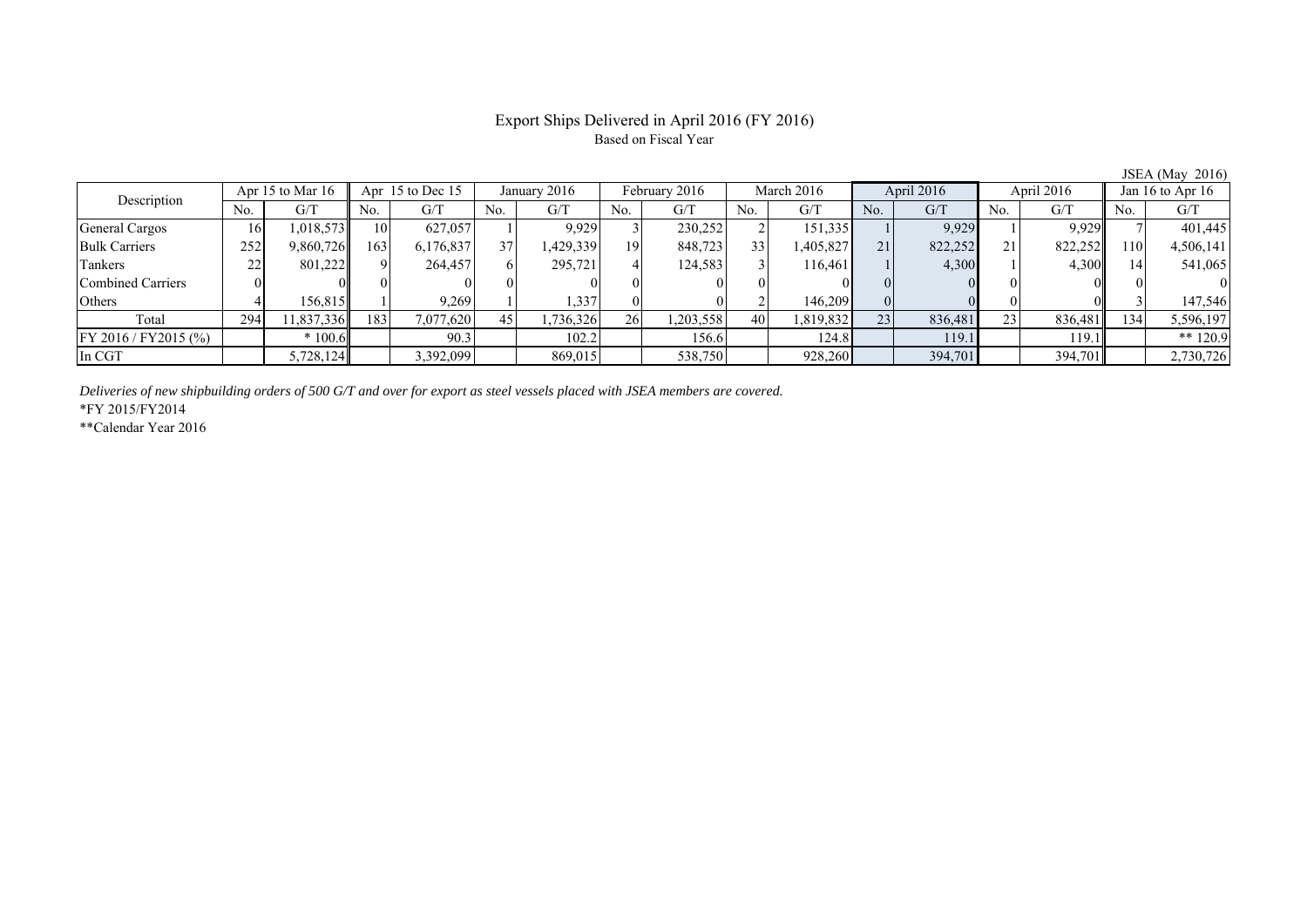### Export Ships Delivered in April 2016 (FY 2016) Based on Fiscal Year

|                         |                    |           |                      |           |                 |          |               |          |            |           |                 |         |                |         |                    | $\sqrt{2}$ |
|-------------------------|--------------------|-----------|----------------------|-----------|-----------------|----------|---------------|----------|------------|-----------|-----------------|---------|----------------|---------|--------------------|------------|
| Description             | Apr 15 to Mar $16$ |           | Apr $15$ to Dec $15$ |           | January 2016    |          | February 2016 |          | March 2016 |           | April 2016      |         | April 2016     |         | Jan 16 to Apr $16$ |            |
|                         | No.                | G/T       | No.                  | G/T       | No.             | G/T      | No.           | G/T      | No.        | G/T       | N <sub>0</sub>  | G/T     | N <sub>0</sub> | G/T     | No.                | G/T        |
| General Cargos          | 16                 | 1,018,573 | 10                   | 627.057   |                 | 9.929    |               | 230.252  |            | 151,335   |                 | 9,929   |                | 9.929   |                    | 401,445    |
| <b>Bulk Carriers</b>    | 252                | 9,860,726 | 163                  | 6,176,837 | 37 <sub>1</sub> | .429,339 | 19            | 848,723  | 33         | 405,827   | 21 <sub>1</sub> | 822,252 | 21             | 822,252 | 110                | 4,506,141  |
| Tankers                 | 22                 | 801,222   | $\Omega$             | 264,457   | h               | 295,721  |               | 124,583  |            | 116,461   |                 | 4,300   |                | 4,300   |                    | 541,065    |
| Combined Carriers       |                    |           |                      |           |                 |          |               |          |            |           |                 |         |                |         |                    |            |
| Others                  |                    | 156.815   |                      | 9,269     |                 | 1,337    |               |          |            | 146.209   |                 |         |                |         |                    | 147,546    |
| Total                   | 294                | 1,837,336 | 183                  | 7,077,620 | 45              | .736.326 | <b>26</b>     | .203.558 | 40         | 1,819,832 | 23              | 836,481 | 23             | 836,481 | 134                | 5,596,197  |
| $FY 2016 / FY 2015$ (%) |                    | $*100.6$  |                      | 90.3      |                 | 102.2    |               | 156.6    |            | 124.8     |                 | 119.1   |                | 119.1   |                    | ** $120.9$ |
| In CGT                  |                    | 5,728,124 |                      | 3,392,099 |                 | 869,015  |               | 538,750  |            | 928,260   |                 | 394,701 |                | 394,701 |                    | 2,730,726  |

*Deliveries of new shipbuilding orders of 500 G/T and over for export as steel vessels placed with JSEA members are covered.*

\*FY 2015/FY2014

\*\*Calendar Year 2016

JSEA (May 2016)